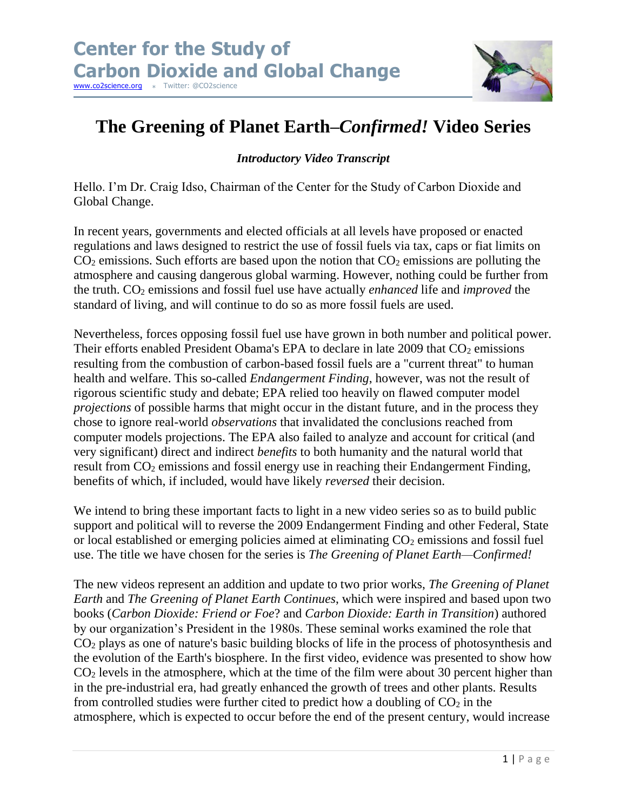

## **The Greening of Planet Earth–***Confirmed!* **Video Series**

## *Introductory Video Transcript*

Hello. I'm Dr. Craig Idso, Chairman of the Center for the Study of Carbon Dioxide and Global Change.

In recent years, governments and elected officials at all levels have proposed or enacted regulations and laws designed to restrict the use of fossil fuels via tax, caps or fiat limits on  $CO<sub>2</sub>$  emissions. Such efforts are based upon the notion that  $CO<sub>2</sub>$  emissions are polluting the atmosphere and causing dangerous global warming. However, nothing could be further from the truth. CO<sup>2</sup> emissions and fossil fuel use have actually *enhanced* life and *improved* the standard of living, and will continue to do so as more fossil fuels are used.

Nevertheless, forces opposing fossil fuel use have grown in both number and political power. Their efforts enabled President Obama's EPA to declare in late  $2009$  that  $CO<sub>2</sub>$  emissions resulting from the combustion of carbon-based fossil fuels are a "current threat" to human health and welfare. This so-called *Endangerment Finding*, however, was not the result of rigorous scientific study and debate; EPA relied too heavily on flawed computer model *projections* of possible harms that might occur in the distant future, and in the process they chose to ignore real-world *observations* that invalidated the conclusions reached from computer models projections. The EPA also failed to analyze and account for critical (and very significant) direct and indirect *benefits* to both humanity and the natural world that result from CO<sup>2</sup> emissions and fossil energy use in reaching their Endangerment Finding, benefits of which, if included, would have likely *reversed* their decision.

We intend to bring these important facts to light in a new video series so as to build public support and political will to reverse the 2009 Endangerment Finding and other Federal, State or local established or emerging policies aimed at eliminating  $CO<sub>2</sub>$  emissions and fossil fuel use. The title we have chosen for the series is *The Greening of Planet Earth—Confirmed!*

The new videos represent an addition and update to two prior works, *The Greening of Planet Earth* and *The Greening of Planet Earth Continues*, which were inspired and based upon two books (*Carbon Dioxide: Friend or Foe*? and *Carbon Dioxide: Earth in Transition*) authored by our organization's President in the 1980s. These seminal works examined the role that CO<sup>2</sup> plays as one of nature's basic building blocks of life in the process of photosynthesis and the evolution of the Earth's biosphere. In the first video, evidence was presented to show how  $CO<sub>2</sub>$  levels in the atmosphere, which at the time of the film were about 30 percent higher than in the pre-industrial era, had greatly enhanced the growth of trees and other plants. Results from controlled studies were further cited to predict how a doubling of  $CO<sub>2</sub>$  in the atmosphere, which is expected to occur before the end of the present century, would increase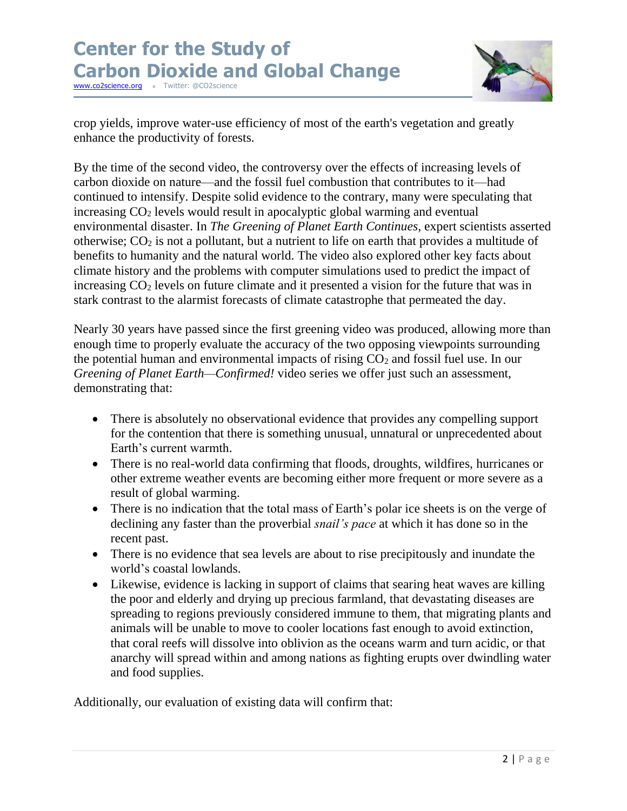

crop yields, improve water-use efficiency of most of the earth's vegetation and greatly enhance the productivity of forests.

By the time of the second video, the controversy over the effects of increasing levels of carbon dioxide on nature—and the fossil fuel combustion that contributes to it—had continued to intensify. Despite solid evidence to the contrary, many were speculating that increasing  $CO<sub>2</sub>$  levels would result in apocalyptic global warming and eventual environmental disaster. In *The Greening of Planet Earth Continues*, expert scientists asserted otherwise;  $CO<sub>2</sub>$  is not a pollutant, but a nutrient to life on earth that provides a multitude of benefits to humanity and the natural world. The video also explored other key facts about climate history and the problems with computer simulations used to predict the impact of increasing  $CO<sub>2</sub>$  levels on future climate and it presented a vision for the future that was in stark contrast to the alarmist forecasts of climate catastrophe that permeated the day.

Nearly 30 years have passed since the first greening video was produced, allowing more than enough time to properly evaluate the accuracy of the two opposing viewpoints surrounding the potential human and environmental impacts of rising  $CO<sub>2</sub>$  and fossil fuel use. In our *Greening of Planet Earth—Confirmed!* video series we offer just such an assessment, demonstrating that:

- There is absolutely no observational evidence that provides any compelling support for the contention that there is something unusual, unnatural or unprecedented about Earth's current warmth.
- There is no real-world data confirming that floods, droughts, wildfires, hurricanes or other extreme weather events are becoming either more frequent or more severe as a result of global warming.
- There is no indication that the total mass of Earth's polar ice sheets is on the verge of declining any faster than the proverbial *snail's pace* at which it has done so in the recent past.
- There is no evidence that sea levels are about to rise precipitously and inundate the world's coastal lowlands.
- Likewise, evidence is lacking in support of claims that searing heat waves are killing the poor and elderly and drying up precious farmland, that devastating diseases are spreading to regions previously considered immune to them, that migrating plants and animals will be unable to move to cooler locations fast enough to avoid extinction, that coral reefs will dissolve into oblivion as the oceans warm and turn acidic, or that anarchy will spread within and among nations as fighting erupts over dwindling water and food supplies.

Additionally, our evaluation of existing data will confirm that: